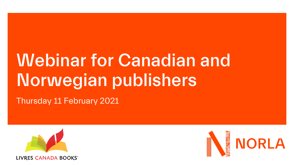## Webinar for Canadian and Norwegian publishers

Thursday 11 February 2021



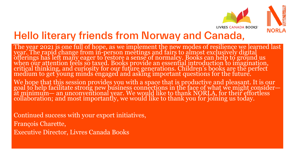

## Hello literary friends from Norway and Canada,

The year 2021 is one full of hope, as we implement the new modes of resilience we learned last year. The rapid change from in-person meetings and fairs to almost exclusively digital offerings has left many eager to restore a sense of normalcy. Books can help to ground us when our attention feels so taxed. Books provide an essential introduction to imagination, critical thinking, and curiosity for our future generations. Children's books are the perfect medium to get young minds engaged and asking important questions for the future.

We hope that this session provides you with a space that is productive and pleasant. It is our goal to help facilitate strong new business connections in the face of what we might consider at minimum— an unconventional year. We would like to thank NORLA, for their effortless collaboration; and most importantly, we would like to thank you for joining us today.

Continued success with your export initiatives, François Charette, Executive Director, Livres Canada Books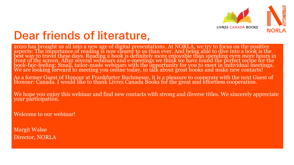

## Dear friends of literature,

2020 has brought us all into a new age of digital presentations. At NORLA, we try to focus on the positive aspects: The importance of reading is now clearer to us than ever. And being able to dive into a book is the best way to travel these days. Reading a book is definitely more enjoyable than spending even more hours in front of the screen. After several webinars and e-meetings we think we have found the perfect recipe for the book-fair-feeling: Small, tailor-made webinars with the opportunity for you to meet in individual meetings. We are looking forward to meeting you online today, to talk about great books and make new contacts!

As a former Guest of Honour at Frankfurter Buchmesse, it is a pleasure to cooperate with the next Guest of Honour: Canada. I would like to thank Livres Canada Bóoks for the great and effortless cooperation.

We hope you enjoy this webinar and find new contacts with strong and diverse titles. We sincerely appreciate your participation.

Welcome to our webinar!

Margit Walsø Director, NORLA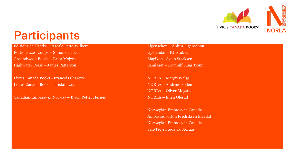

## Participants

Éditions de l'isatis – Pascale Patte-Wilbert

Éditions 400 Coups – Simon de Jocas Groundwood Books – Erica Mojzes Highwater Press – James Patterson

Livres Canada Books - François Charette Livres Canada Books - Tristan Lee

Canadian Embassy in Norway – Bjørn Petter Hernes

Figenschou – Anitra Figenschou Gyldendal – Pål Stokka Magikon - Svein Størksen Samlaget – Brynjulf Jung Tjønn

NORLA – Margit Walsø NORLA – Andrine Pollen NORLA – Oliver Møystad NORLA – Ellen Olerud

Norwegian Embassy in Canada - Ambassador Jon Fredriksen Elvedal Norwegian Embassy in Canada - Jan-Terje Studsvik Storaas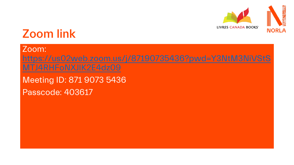

## Zoom link

Zoom: [https://us02web.zoom.us/j/87190735436?pwd=Y3NtM3NiVStS](https://us02web.zoom.us/j/87190735436?pwd=Y3NtM3NiVStSMTJ4RHFoNXJlK2E4dz09) MTJ4RHFoNXJlK2E4dz09 Meeting ID: 871 9073 5436 Passcode: 403617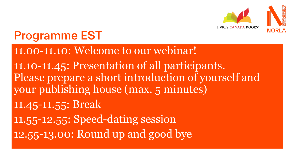

## Programme EST

### 11.00-11.10: Welcome to our webinar!

11.10-11.45: Presentation of all participants. Please prepare a short introduction of yourself and your publishing house (max. 5 minutes) 11.45-11.55: Break 11.55-12.55: Speed-dating session 12.55-13.00: Round up and good bye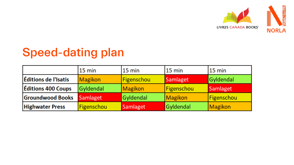

# Speed-dating plan

|                           | $15 \text{ min}$ | $15 \text{ min}$ | $15 \text{ min}$ | $15 \text{ min}$ |
|---------------------------|------------------|------------------|------------------|------------------|
| Éditions de l'Isatis      | Magikon          | Figenschou       | Samlaget         | Gyldendal        |
| <b>Éditions 400 Coups</b> | Gyldendal        | Magikon          | Figenschou       | Samlaget         |
| <b>Groundwood Books</b>   | Samlaget         | Gyldendal        | Magikon          | Figenschou       |
| <b>Highwater Press</b>    | Figenschou       | Samlaget         | Gyldendal        | Magikon          |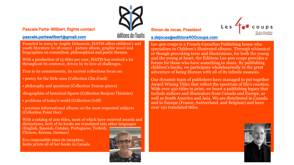#### Pascale Patte-Wilbert, Rights contact

#### [pascale.pattewilbert@gmail.com](mailto:pascale.pattewilbert@gmail.com)

# éditions de l'isatis

Founded in 2003 by Angèle Delaunois, ISATIS offers children's and youth literature (0-18 years) : picture album, graphic novel and biographies on committed, philosophical and poetic themes.

With a production of 15 titles per year, ISATIS has evolved a lot throughout its existence, driven by its love of challenges.

- True to its commitments, its current collections focus on:
- poetry for the little ones (Collection Clin d'oeil)
- philosophy and questions (Collection Tourne-pierre)
- •biographies of historical figures (Collection Bonjour l'histoire)
- problems of today's world (Collection Griff)
- precious informational albums on the most requested subjects (Collection Point Doc)

With a catalog of 200 titles, most of which have received awards and distinctions, 60% of its books are translated into other languages (English, Spanish, Catalan, Portuguese, Turkish, Chinese, Korean, German)

Eco-responsible since its inception, Isatis prints all of her books in Canada.



#### Simon de Jocas, President



#### [s.dejocas@editions400coups.com](mailto:s.dejocas@editions400coups.com)

Les 400 coups is a French-Canadian Publishing house who specializes in Children's illustrated albums. Through whimsical or though provoking texts and illustrations, for both the young and the young at heart, the Éditions Les 400 coups provides a forum for those who have something to share. By publishing children's books, we participate wholeheartedly in the great adventure of being Human with all of its infinite nuances.

Our dynamic team of publishers have managed to put together Award Wining Titles that reflect the spectrum of life's emotion. With over 450 titles in print, we boast a publishing legacy that include authors and illustrators from Canada and Europe, as well as South America and Asia. We are distributed in Canada and in Europe (France, Switzerland, and Belgium) and have over 150 translated titles.

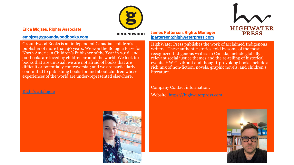#### Erica Mojzes, Rights Associate

#### [emojzes@groundwoodbooks.com](mailto:emojzes@groundwoodbooks.com)

#### **GROUNDWOOD**

Groundwood Books is an independent Canadian children's publisher of more than 40 years. We won the Bologna Prize for North American Children's Publisher of the Year in 2016, and our books are loved by children around the world. We look for books that are unusual; we are not afraid of books that are difficult or potentially controversial; and we are particularly committed to publishing books for and about children whose experiences of the world are under-represented elsewhere.

#### [Right's catalogue](Lagre på fellesområdet/Canada BU/Canada/Groundwood Books/GW_Rights_F20_S21_lowres.pdf)



## **HIGHWATER PRESS**

#### James Patterson, Rights Manager [jpatterson@highwaterpress.com](mailto:jpatterson@highwaterpress.com)

HighWater Press publishes the work of acclaimed Indigenous writers. These authentic stories, told by some of the most recognized Indigenous writers in Canada, include globally relevant social justice themes and the re-telling of historical events. HWP's vibrant and thought-provoking books include a rich mix of non-fiction, novels, graphic novels, and children's literature.

Company Contact information: Website: [https://highwaterpress.com](https://highwaterpress.com/)

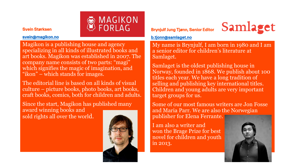#### Svein Størksen

#### [svein@magikon.no](mailto:svein@magikon.no)

**A MAGIKON**<br>W FORLAG

Magikon is a publishing house and agency specializing in all kinds of illustrated books and art books. Magikon was established in 2007. The company name consists of two parts: "magi" which signifies the magic of imagination, and "ikon" – which stands for images.

The editorial line is based on all kinds of visual culture – picture books, photo books, art books, craft books, comics, both for children and adults.

Since the start, Magikon has published many award winning books and sold rights all over the world.



#### Brynjulf Jung Tjønn, Senior Editor



[b.tjonn@samlaget.no](mailto:b.tjonn@samlaget.no)

My name is Brynjulf, I am born in 1980 and I am a senior editor for children's literature at Samlaget.

Samlaget is the oldest publishing house in Norway, founded in 1868. We publish about 100 titles each year. We have a long tradition of selling and publishing key international titles. Children and young adults are very important target groups for us.

Some of our most famous writers are Jon Fosse and Maria Parr. We are also the Norwegian publisher for Elena Ferrante.

I am also a writer and won the Brage Prize for best novel for children and youth in 2013.